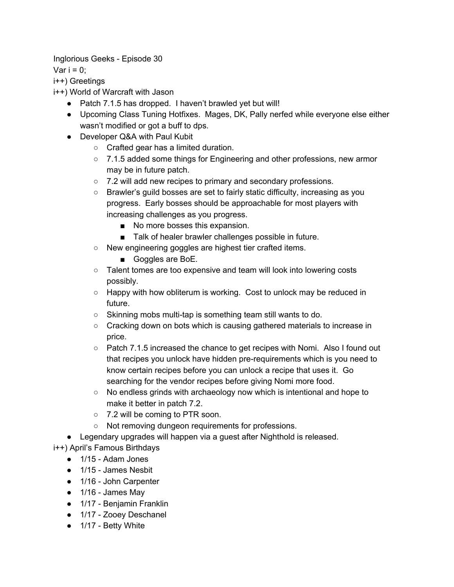Inglorious Geeks - Episode 30

Var  $i = 0$ ;

i++) Greetings

i++) World of Warcraft with Jason

- Patch 7.1.5 has dropped. I haven't brawled yet but will!
- Upcoming Class Tuning Hotfixes. Mages, DK, Pally nerfed while everyone else either wasn't modified or got a buff to dps.
- Developer Q&A with Paul Kubit
	- Crafted gear has a limited duration.
	- 7.1.5 added some things for Engineering and other professions, new armor may be in future patch.
	- 7.2 will add new recipes to primary and secondary professions.
	- Brawler's guild bosses are set to fairly static difficulty, increasing as you progress. Early bosses should be approachable for most players with increasing challenges as you progress.
		- No more bosses this expansion.
		- Talk of healer brawler challenges possible in future.
	- New engineering goggles are highest tier crafted items.
		- Goggles are BoE.
	- Talent tomes are too expensive and team will look into lowering costs possibly.
	- Happy with how obliterum is working. Cost to unlock may be reduced in future.
	- Skinning mobs multi-tap is something team still wants to do.
	- Cracking down on bots which is causing gathered materials to increase in price.
	- Patch 7.1.5 increased the chance to get recipes with Nomi. Also I found out that recipes you unlock have hidden pre-requirements which is you need to know certain recipes before you can unlock a recipe that uses it. Go searching for the vendor recipes before giving Nomi more food.
	- No endless grinds with archaeology now which is intentional and hope to make it better in patch 7.2.
	- 7.2 will be coming to PTR soon.
	- Not removing dungeon requirements for professions.
- Legendary upgrades will happen via a guest after Nighthold is released.

i++) April's Famous Birthdays

- 1/15 Adam Jones
- 1/15 James Nesbit
- 1/16 John Carpenter
- 1/16 James May
- 1/17 Benjamin Franklin
- 1/17 Zooey Deschanel
- 1/17 Betty White